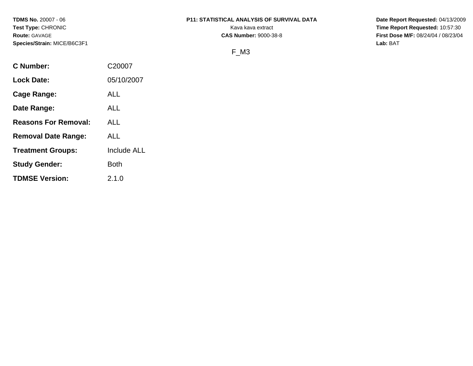# **TDMS No.** 20007 - 06 **P11: STATISTICAL ANALYSIS OF SURVIVAL DATA Date Report Requested:** 04/13/2009

**Test Type:** CHRONIC **Track CHRONIC Report Requested:** 10:57:30 **Route:** GAVAGE **CAS Number:** 9000-38-8 **First Dose M/F:** 08/24/04 / 08/23/04

# F\_M3

| <b>C</b> Number:            | C20007             |
|-----------------------------|--------------------|
| <b>Lock Date:</b>           | 05/10/2007         |
| Cage Range:                 | <b>ALL</b>         |
| Date Range:                 | ALL                |
| <b>Reasons For Removal:</b> | ALL                |
| <b>Removal Date Range:</b>  | ALL                |
| <b>Treatment Groups:</b>    | <b>Include ALL</b> |
| <b>Study Gender:</b>        | Both               |
| <b>TDMSE Version:</b>       | 2.1.0              |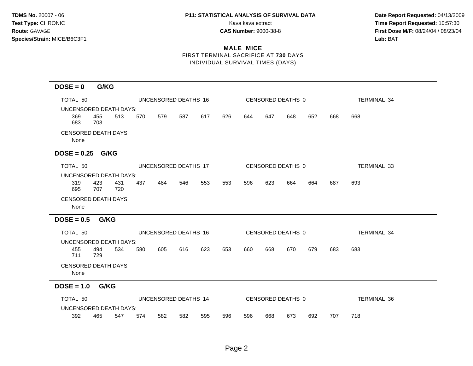**Test Type:** CHRONIC **The Report Requested:** 10:57:30 **Route:** GAVAGE **CAS Number:** 9000-38-8 **First Dose M/F:** 08/24/04 / 08/23/04

## **MALE MICE** FIRST TERMINAL SACRIFICE AT **730** DAYS INDIVIDUAL SURVIVAL TIMES (DAYS)

**DOSE = 0 G/KG** TOTAL 50 UNCENSORED DEATHS 16 CENSORED DEATHS 0 TERMINAL 34 UNCENSORED DEATH DAYS: 369 455 513 570 579 587 617 626 644 647 648 652 668 668 683 703 CENSORED DEATH DAYS: None **DOSE = 0.25 G/KG** TOTAL 50 UNCENSORED DEATHS 17 CENSORED DEATHS 0 TERMINAL 33 UNCENSORED DEATH DAYS: 319 423 431 437 484 546 553 553 596 623 664 664 687 693 695 707 720 CENSORED DEATH DAYS: None **DOSE = 0.5 G/KG** TOTAL 50 UNCENSORED DEATHS 16 CENSORED DEATHS 0 TERMINAL 34 UNCENSORED DEATH DAYS: 455 494 534 580 605 616 623 653 660 668 670 679 683 683 711 729 CENSORED DEATH DAYS: None **DOSE = 1.0 G/KG** TOTAL 50 UNCENSORED DEATHS 14 CENSORED DEATHS 0 TERMINAL 36 UNCENSORED DEATH DAYS: 392 465 547 574 582 582 595 596 596 668 673 692 707 718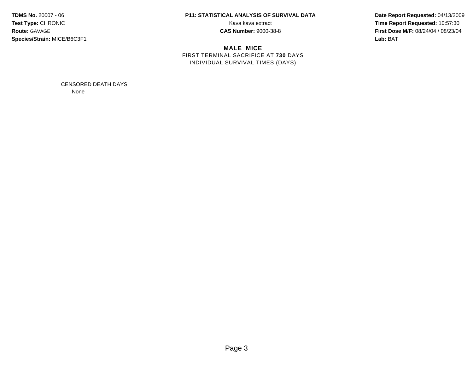# **TDMS No.** 20007 - 06 **P11: STATISTICAL ANALYSIS OF SURVIVAL DATA Date Report Requested:** 04/13/2009

**MALE MICE** FIRST TERMINAL SACRIFICE AT **730** DAYS INDIVIDUAL SURVIVAL TIMES (DAYS)

**Test Type:** CHRONIC **Transfer CHRONIC Report Requested:** 10:57:30 **Route:** GAVAGE **CAS Number:** 9000-38-8 **First Dose M/F:** 08/24/04 / 08/23/04

> CENSORED DEATH DAYS: None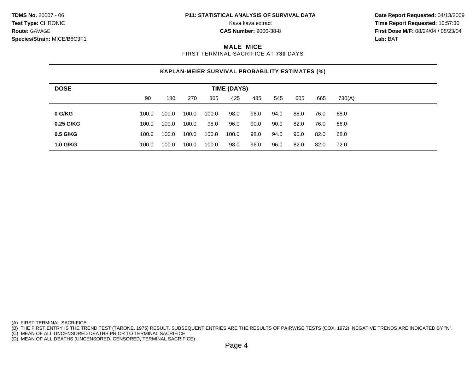**Test Type:** CHRONIC **The Report Requested:** 10:57:30 **Route:** GAVAGE **CAS Number:** 9000-38-8 **First Dose M/F:** 08/24/04 / 08/23/04

## **MALE MICE**

FIRST TERMINAL SACRIFICE AT **730** DAYS

# **KAPLAN-MEIER SURVIVAL PROBABILITY ESTIMATES (%)**

| <b>DOSE</b>     | <b>TIME (DAYS)</b> |       |       |       |       |      |      |      |      |        |  |  |
|-----------------|--------------------|-------|-------|-------|-------|------|------|------|------|--------|--|--|
|                 | 90                 | 180   | 270   | 365   | 425   | 485  | 545  | 605  | 665  | 730(A) |  |  |
| 0 G/KG          | 100.0              | 100.0 | 100.0 | 100.0 | 98.0  | 96.0 | 94.0 | 88.0 | 76.0 | 68.0   |  |  |
| 0.25 G/KG       | 100.0              | 100.0 | 100.0 | 98.0  | 96.0  | 90.0 | 90.0 | 82.0 | 76.0 | 66.0   |  |  |
| 0.5 G/KG        | 100.0              | 100.0 | 100.0 | 100.0 | 100.0 | 98.0 | 94.0 | 90.0 | 82.0 | 68.0   |  |  |
| <b>1.0 G/KG</b> | 100.0              | 100.0 | 100.0 | 100.0 | 98.0  | 96.0 | 96.0 | 82.0 | 82.0 | 72.0   |  |  |

(A) FIRST TERMINAL SACRIFICE

(B) THE FIRST ENTRY IS THE TREND TEST (TARONE, 1975) RESULT. SUBSEQUENT ENTRIES ARE THE RESULTS OF PAIRWISE TESTS (COX, 1972). NEGATIVE TRENDS ARE INDICATED BY "N".

(C) MEAN OF ALL UNCENSORED DEATHS PRIOR TO TERMINAL SACRIFICE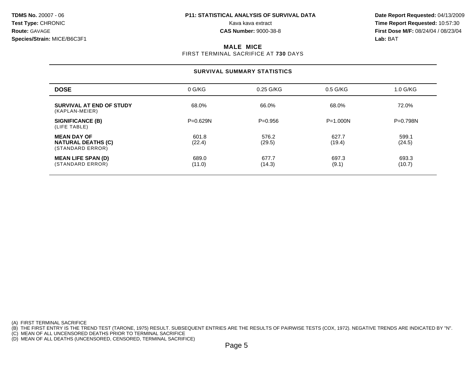**Test Type:** CHRONIC **The Report Requested:** 10:57:30 **Route:** GAVAGE **CAS Number:** 9000-38-8 **First Dose M/F:** 08/24/04 / 08/23/04

## **MALE MICE**

FIRST TERMINAL SACRIFICE AT **730** DAYS

## **SURVIVAL SUMMARY STATISTICS**

| <b>DOSE</b>                                                         | 0 G/KG          | 0.25 G/KG       | $0.5$ G/KG      | $1.0$ G/KG      |
|---------------------------------------------------------------------|-----------------|-----------------|-----------------|-----------------|
| <b>SURVIVAL AT END OF STUDY</b><br>(KAPLAN-MEIER)                   | 68.0%           | 66.0%           | 68.0%           | 72.0%           |
| <b>SIGNIFICANCE (B)</b><br>(LIFE TABLE)                             | $P = 0.629N$    | $P=0.956$       | $P = 1.000N$    | $P = 0.798N$    |
| <b>MEAN DAY OF</b><br><b>NATURAL DEATHS (C)</b><br>(STANDARD ERROR) | 601.8<br>(22.4) | 576.2<br>(29.5) | 627.7<br>(19.4) | 599.1<br>(24.5) |
| <b>MEAN LIFE SPAN (D)</b><br>(STANDARD ERROR)                       | 689.0<br>(11.0) | 677.7<br>(14.3) | 697.3<br>(9.1)  | 693.3<br>(10.7) |

(A) FIRST TERMINAL SACRIFICE

(B) THE FIRST ENTRY IS THE TREND TEST (TARONE, 1975) RESULT. SUBSEQUENT ENTRIES ARE THE RESULTS OF PAIRWISE TESTS (COX, 1972). NEGATIVE TRENDS ARE INDICATED BY "N".

(C) MEAN OF ALL UNCENSORED DEATHS PRIOR TO TERMINAL SACRIFICE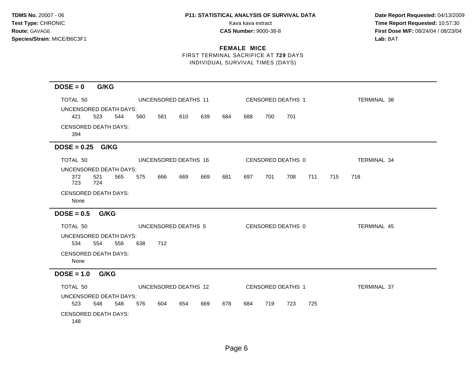**Test Type:** CHRONIC **Transfer CHRONIC Report Requested:** 10:57:30 **Route:** GAVAGE **CAS Number:** 9000-38-8 **First Dose M/F:** 08/24/04 / 08/23/04

## **FEMALE MICE** FIRST TERMINAL SACRIFICE AT **729** DAYS

INDIVIDUAL SURVIVAL TIMES (DAYS)

| $DOSE = 0$                    | G/KG        |     |     |                      |     |     |     |     |     |                   |     |     |                    |  |
|-------------------------------|-------------|-----|-----|----------------------|-----|-----|-----|-----|-----|-------------------|-----|-----|--------------------|--|
|                               |             |     |     |                      |     |     |     |     |     |                   |     |     |                    |  |
| TOTAL 50                      |             |     |     | UNCENSORED DEATHS 11 |     |     |     |     |     | CENSORED DEATHS 1 |     |     | TERMINAL 38        |  |
| <b>UNCENSORED DEATH DAYS:</b> |             |     |     |                      |     |     |     |     |     |                   |     |     |                    |  |
| 421                           | 523         | 544 | 560 | 581                  | 610 | 639 | 684 | 688 | 700 | 701               |     |     |                    |  |
| <b>CENSORED DEATH DAYS:</b>   |             |     |     |                      |     |     |     |     |     |                   |     |     |                    |  |
| 394                           |             |     |     |                      |     |     |     |     |     |                   |     |     |                    |  |
| $DOSE = 0.25$ G/KG            |             |     |     |                      |     |     |     |     |     |                   |     |     |                    |  |
| TOTAL 50                      |             |     |     | UNCENSORED DEATHS 16 |     |     |     |     |     | CENSORED DEATHS 0 |     |     | TERMINAL 34        |  |
| UNCENSORED DEATH DAYS:        |             |     |     |                      |     |     |     |     |     |                   |     |     |                    |  |
| 372                           | 521         | 565 | 575 | 666                  | 669 | 669 | 681 | 697 | 701 | 708               | 711 | 715 | 718                |  |
| 723                           | 724         |     |     |                      |     |     |     |     |     |                   |     |     |                    |  |
| <b>CENSORED DEATH DAYS:</b>   |             |     |     |                      |     |     |     |     |     |                   |     |     |                    |  |
| None                          |             |     |     |                      |     |     |     |     |     |                   |     |     |                    |  |
| $DOSE = 0.5$                  | <b>G/KG</b> |     |     |                      |     |     |     |     |     |                   |     |     |                    |  |
| TOTAL 50                      |             |     |     | UNCENSORED DEATHS 5  |     |     |     |     |     | CENSORED DEATHS 0 |     |     | <b>TERMINAL 45</b> |  |
| UNCENSORED DEATH DAYS:        |             |     |     |                      |     |     |     |     |     |                   |     |     |                    |  |
| 534                           | 554         | 556 | 638 | 712                  |     |     |     |     |     |                   |     |     |                    |  |
| <b>CENSORED DEATH DAYS:</b>   |             |     |     |                      |     |     |     |     |     |                   |     |     |                    |  |
| None                          |             |     |     |                      |     |     |     |     |     |                   |     |     |                    |  |
| $DOSE = 1.0$ G/KG             |             |     |     |                      |     |     |     |     |     |                   |     |     |                    |  |
| TOTAL 50                      |             |     |     | UNCENSORED DEATHS 12 |     |     |     |     |     | CENSORED DEATHS 1 |     |     | <b>TERMINAL 37</b> |  |
| UNCENSORED DEATH DAYS:        |             |     |     |                      |     |     |     |     |     |                   |     |     |                    |  |
| 523                           | 548         | 548 | 576 | 604                  | 654 | 669 | 678 | 684 | 719 | 723               | 725 |     |                    |  |
| <b>CENSORED DEATH DAYS:</b>   |             |     |     |                      |     |     |     |     |     |                   |     |     |                    |  |
| 148                           |             |     |     |                      |     |     |     |     |     |                   |     |     |                    |  |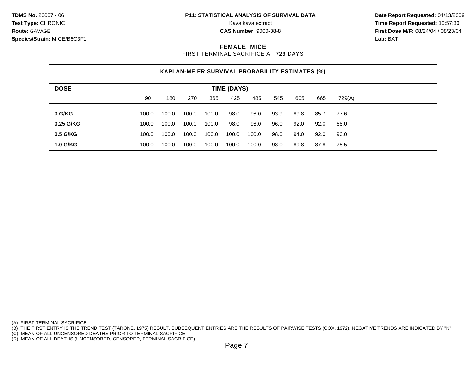**Test Type:** CHRONIC **The Report Requested:** 10:57:30 **Route:** GAVAGE **CAS Number:** 9000-38-8 **First Dose M/F:** 08/24/04 / 08/23/04

## **FEMALE MICE**

FIRST TERMINAL SACRIFICE AT **729** DAYS

# **KAPLAN-MEIER SURVIVAL PROBABILITY ESTIMATES (%)**

| <b>DOSE</b>     | <b>TIME (DAYS)</b> |       |       |       |       |       |      |      |      |        |  |
|-----------------|--------------------|-------|-------|-------|-------|-------|------|------|------|--------|--|
|                 | 90                 | 180   | 270   | 365   | 425   | 485   | 545  | 605  | 665  | 729(A) |  |
| 0 G/KG          | 100.0              | 100.0 | 100.0 | 100.0 | 98.0  | 98.0  | 93.9 | 89.8 | 85.7 | 77.6   |  |
|                 |                    |       |       |       |       |       |      |      |      |        |  |
| 0.25 G/KG       | 100.0              | 100.0 | 100.0 | 100.0 | 98.0  | 98.0  | 96.0 | 92.0 | 92.0 | 68.0   |  |
| $0.5$ G/KG      | 100.0              | 100.0 | 100.0 | 100.0 | 100.0 | 100.0 | 98.0 | 94.0 | 92.0 | 90.0   |  |
| <b>1.0 G/KG</b> | 100.0              | 100.0 | 100.0 | 100.0 | 100.0 | 100.0 | 98.0 | 89.8 | 87.8 | 75.5   |  |

(A) FIRST TERMINAL SACRIFICE

(B) THE FIRST ENTRY IS THE TREND TEST (TARONE, 1975) RESULT. SUBSEQUENT ENTRIES ARE THE RESULTS OF PAIRWISE TESTS (COX, 1972). NEGATIVE TRENDS ARE INDICATED BY "N".

(C) MEAN OF ALL UNCENSORED DEATHS PRIOR TO TERMINAL SACRIFICE